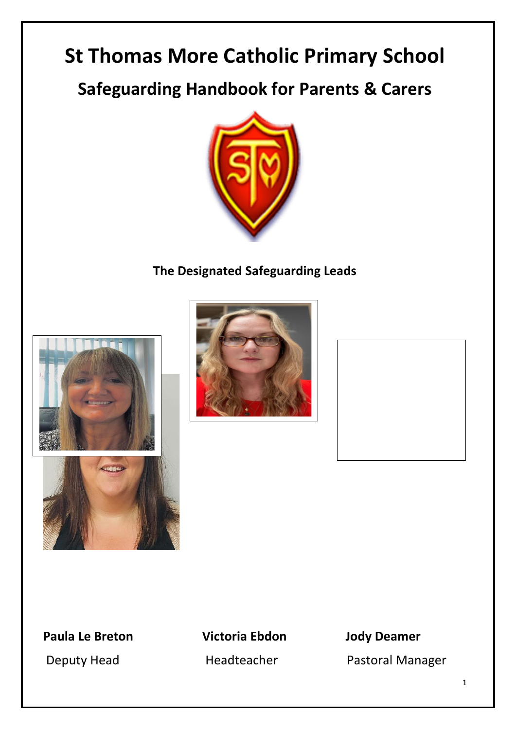# **St Thomas More Catholic Primary School**

**Safeguarding Handbook for Parents & Carers**



**The Designated Safeguarding Leads**







**Paula Le Breton Victoria Ebdon Jody Deamer**

Deputy Head **Headteacher** Pastoral Manager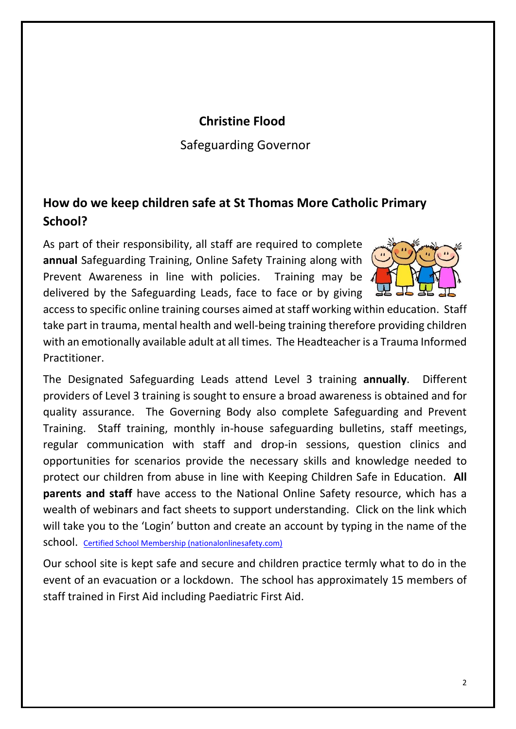# **Christine Flood**

Safeguarding Governor

# **How do we keep children safe at St Thomas More Catholic Primary School?**

As part of their responsibility, all staff are required to complete **annual** Safeguarding Training, Online Safety Training along with Prevent Awareness in line with policies. Training may be delivered by the Safeguarding Leads, face to face or by giving



access to specific online training courses aimed at staff working within education. Staff take part in trauma, mental health and well-being training therefore providing children with an emotionally available adult at all times. The Headteacher is a Trauma Informed Practitioner.

The Designated Safeguarding Leads attend Level 3 training **annually**. Different providers of Level 3 training is sought to ensure a broad awareness is obtained and for quality assurance. The Governing Body also complete Safeguarding and Prevent Training. Staff training, monthly in-house safeguarding bulletins, staff meetings, regular communication with staff and drop-in sessions, question clinics and opportunities for scenarios provide the necessary skills and knowledge needed to protect our children from abuse in line with Keeping Children Safe in Education. **All parents and staff** have access to the National Online Safety resource, which has a wealth of webinars and fact sheets to support understanding. Click on the link which will take you to the 'Login' button and create an account by typing in the name of the school. [Certified School Membership \(nationalonlinesafety.com\)](https://info.nationalonlinesafety.com/certified-school-membership-new-academic-enquiry-ppc?utm_term=online%20safety&utm_campaign=NOS+-+Online+Safety+PPC&utm_source=adwords&utm_medium=ppc&hsa_acc=1751242191&hsa_cam=14671965033&hsa_grp=127542835659&hsa_ad=546510075992&hsa_src=g&hsa_tgt=aud-543431917089:kwd-90322995&hsa_kw=online%20safety&hsa_mt=p&hsa_net=adwords&hsa_ver=3&gclid=EAIaIQobChMIrqSGwZii9AIVh6jVCh1a6AosEAAYASAAEgKK0fD_BwE)

Our school site is kept safe and secure and children practice termly what to do in the event of an evacuation or a lockdown. The school has approximately 15 members of staff trained in First Aid including Paediatric First Aid.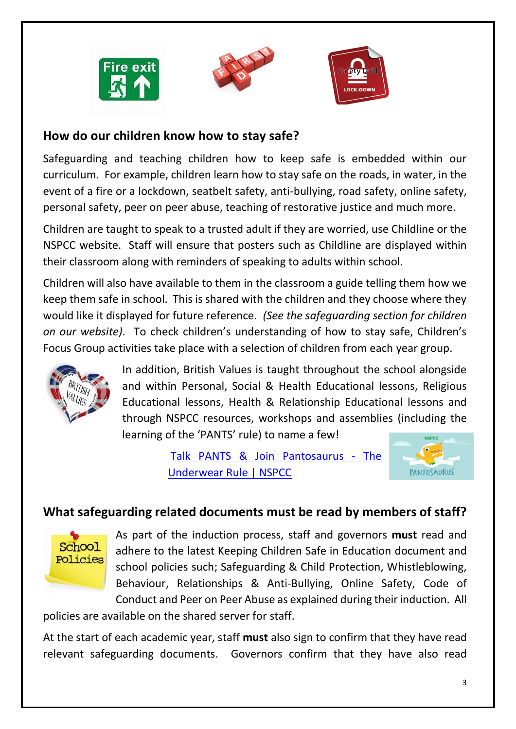





#### **How do our children know how to stay safe?**

Safeguarding and teaching children how to keep safe is embedded within our curriculum. For example, children learn how to stay safe on the roads, in water, in the event of a fire or a lockdown, seatbelt safety, anti-bullying, road safety, online safety, personal safety, peer on peer abuse, teaching of restorative justice and much more.

Children are taught to speak to a trusted adult if they are worried, use Childline or the NSPCC website. Staff will ensure that posters such as Childline are displayed within their classroom along with reminders of speaking to adults within school.

Children will also have available to them in the classroom a guide telling them how we keep them safe in school. This is shared with the children and they choose where they would like it displayed for future reference. *(See the safeguarding section for children on our website)*. To check children's understanding of how to stay safe, Children's Focus Group activities take place with a selection of children from each year group.



In addition, British Values is taught throughout the school alongside and within Personal, Social & Health Educational lessons, Religious Educational lessons, Health & Relationship Educational lessons and through NSPCC resources, workshops and assemblies (including the learning of the 'PANTS' rule) to name a few!

> [Talk PANTS & Join Pantosaurus -](https://www.nspcc.org.uk/keeping-children-safe/support-for-parents/pants-underwear-rule/) The [Underwear Rule | NSPCC](https://www.nspcc.org.uk/keeping-children-safe/support-for-parents/pants-underwear-rule/)



# **What safeguarding related documents must be read by members of staff?**



As part of the induction process, staff and governors **must** read and adhere to the latest Keeping Children Safe in Education document and school policies such; Safeguarding & Child Protection, Whistleblowing, Behaviour, Relationships & Anti-Bullying, Online Safety, Code of Conduct and Peer on Peer Abuse as explained during their induction. All

policies are available on the shared server for staff.

At the start of each academic year, staff **must** also sign to confirm that they have read relevant safeguarding documents. Governors confirm that they have also read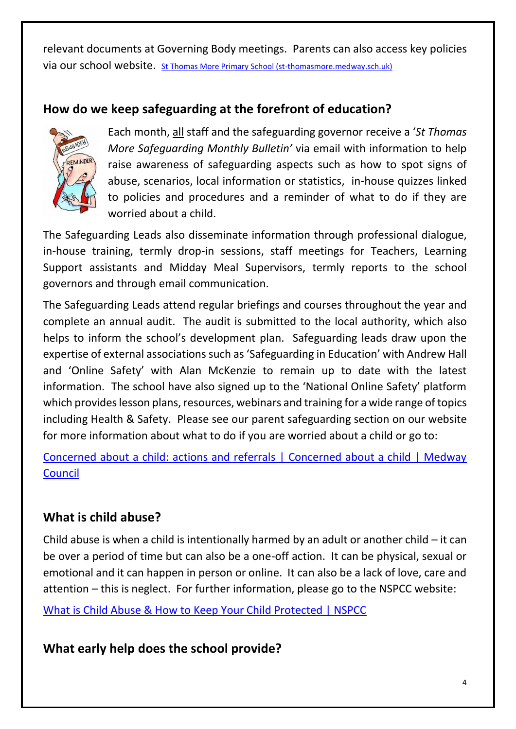relevant documents at Governing Body meetings. Parents can also access key policies via our school website. [St Thomas More Primary School \(st-thomasmore.medway.sch.uk\)](https://st-thomasmore.medway.sch.uk/key-information/policies-documents/)

# **How do we keep safeguarding at the forefront of education?**



Each month, all staff and the safeguarding governor receive a '*St Thomas More Safeguarding Monthly Bulletin'* via email with information to help raise awareness of safeguarding aspects such as how to spot signs of abuse, scenarios, local information or statistics, in-house quizzes linked to policies and procedures and a reminder of what to do if they are worried about a child.

The Safeguarding Leads also disseminate information through professional dialogue, in-house training, termly drop-in sessions, staff meetings for Teachers, Learning Support assistants and Midday Meal Supervisors, termly reports to the school governors and through email communication.

The Safeguarding Leads attend regular briefings and courses throughout the year and complete an annual audit. The audit is submitted to the local authority, which also helps to inform the school's development plan. Safeguarding leads draw upon the expertise of external associations such as 'Safeguarding in Education' with Andrew Hall and 'Online Safety' with Alan McKenzie to remain up to date with the latest information. The school have also signed up to the 'National Online Safety' platform which provides lesson plans, resources, webinars and training for a wide range of topics including Health & Safety. Please see our parent safeguarding section on our website for more information about what to do if you are worried about a child or go to:

[Concerned about a child: actions and referrals | Concerned about a child | Medway](https://www.medway.gov.uk/info/200170/children_and_families/600/worried_about_a_child/1)  **[Council](https://www.medway.gov.uk/info/200170/children_and_families/600/worried_about_a_child/1)** 

# **What is child abuse?**

Child abuse is when a child is intentionally harmed by an adult or another child  $-$  it can be over a period of time but can also be a one-off action. It can be physical, sexual or emotional and it can happen in person or online. It can also be a lack of love, care and attention – this is neglect. For further information, please go to the NSPCC website:

[What is Child Abuse & How to Keep Your Child Protected | NSPCC](https://www.nspcc.org.uk/what-is-child-abuse/)

**What early help does the school provide?**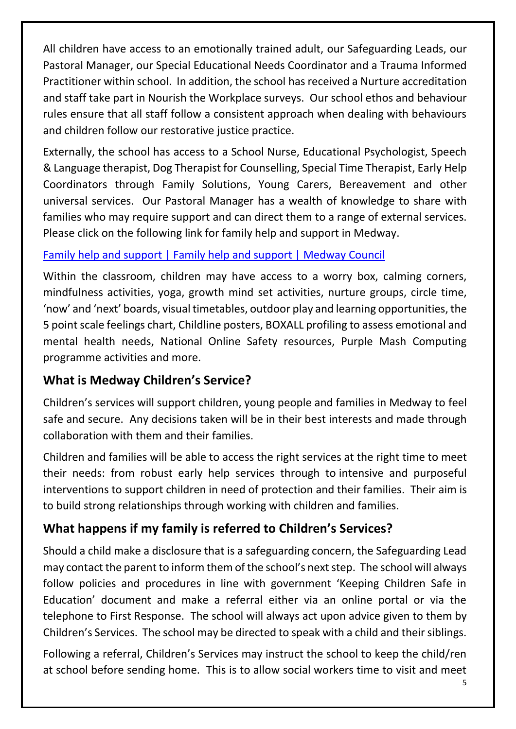All children have access to an emotionally trained adult, our Safeguarding Leads, our Pastoral Manager, our Special Educational Needs Coordinator and a Trauma Informed Practitioner within school. In addition, the school has received a Nurture accreditation and staff take part in Nourish the Workplace surveys. Our school ethos and behaviour rules ensure that all staff follow a consistent approach when dealing with behaviours and children follow our restorative justice practice.

Externally, the school has access to a School Nurse, Educational Psychologist, Speech & Language therapist, Dog Therapist for Counselling, Special Time Therapist, Early Help Coordinators through Family Solutions, Young Carers, Bereavement and other universal services. Our Pastoral Manager has a wealth of knowledge to share with families who may require support and can direct them to a range of external services. Please click on the following link for family help and support in Medway.

#### [Family help and support | Family help and support | Medway Council](https://www.medway.gov.uk/info/200307/local_offer/823/family_help_and_support)

Within the classroom, children may have access to a worry box, calming corners, mindfulness activities, yoga, growth mind set activities, nurture groups, circle time, 'now' and 'next' boards, visual timetables, outdoor play and learning opportunities, the 5 point scale feelings chart, Childline posters, BOXALL profiling to assess emotional and mental health needs, National Online Safety resources, Purple Mash Computing programme activities and more.

# **What is Medway Children's Service?**

Children's services will support children, young people and families in Medway to feel safe and secure. Any decisions taken will be in their best interests and made through collaboration with them and their families.

Children and families will be able to access the right services at the right time to meet their needs: from robust early help services through to intensive and purposeful interventions to support children in need of protection and their families. Their aim is to build strong relationships through working with children and families.

# **What happens if my family is referred to Children's Services?**

Should a child make a disclosure that is a safeguarding concern, the Safeguarding Lead may contact the parent to inform them of the school's next step. The school will always follow policies and procedures in line with government 'Keeping Children Safe in Education' document and make a referral either via an online portal or via the telephone to First Response. The school will always act upon advice given to them by Children's Services. The school may be directed to speak with a child and their siblings.

Following a referral, Children's Services may instruct the school to keep the child/ren at school before sending home. This is to allow social workers time to visit and meet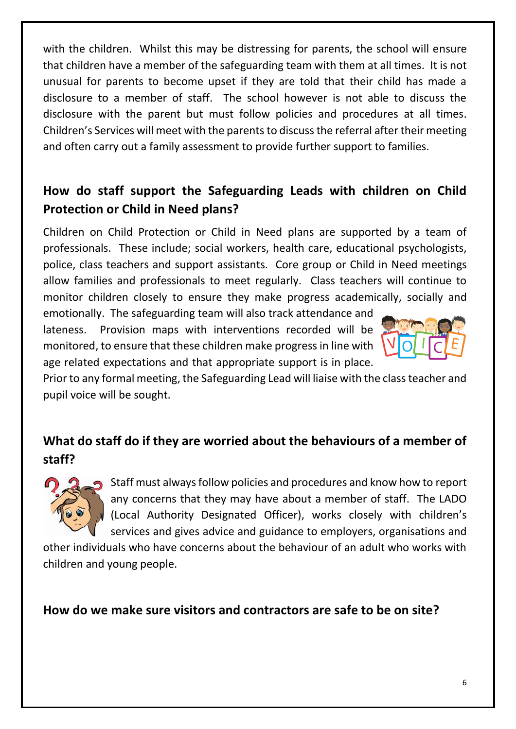with the children. Whilst this may be distressing for parents, the school will ensure that children have a member of the safeguarding team with them at all times. It is not unusual for parents to become upset if they are told that their child has made a disclosure to a member of staff. The school however is not able to discuss the disclosure with the parent but must follow policies and procedures at all times. Children's Services will meet with the parents to discuss the referral after their meeting and often carry out a family assessment to provide further support to families.

# **How do staff support the Safeguarding Leads with children on Child Protection or Child in Need plans?**

Children on Child Protection or Child in Need plans are supported by a team of professionals. These include; social workers, health care, educational psychologists, police, class teachers and support assistants. Core group or Child in Need meetings allow families and professionals to meet regularly. Class teachers will continue to monitor children closely to ensure they make progress academically, socially and

emotionally. The safeguarding team will also track attendance and lateness. Provision maps with interventions recorded will be monitored, to ensure that these children make progress in line with age related expectations and that appropriate support is in place.



Prior to any formal meeting, the Safeguarding Lead will liaise with the class teacher and pupil voice will be sought.

# **What do staff do if they are worried about the behaviours of a member of staff?**



Staff must always follow policies and procedures and know how to report any concerns that they may have about a member of staff. The LADO (Local Authority Designated Officer), works closely with children's services and gives advice and guidance to employers, organisations and

other individuals who have concerns about the behaviour of an adult who works with children and young people.

#### **How do we make sure visitors and contractors are safe to be on site?**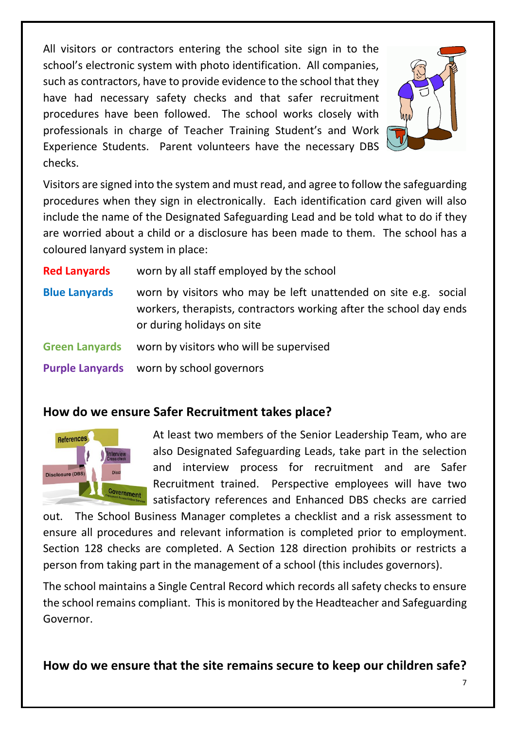All visitors or contractors entering the school site sign in to the school's electronic system with photo identification. All companies, such as contractors, have to provide evidence to the school that they have had necessary safety checks and that safer recruitment procedures have been followed. The school works closely with professionals in charge of Teacher Training Student's and Work Experience Students. Parent volunteers have the necessary DBS checks.



Visitors are signed into the system and must read, and agree to follow the safeguarding procedures when they sign in electronically. Each identification card given will also include the name of the Designated Safeguarding Lead and be told what to do if they are worried about a child or a disclosure has been made to them. The school has a coloured lanyard system in place:

**Red Lanyards** worn by all staff employed by the school **Blue Lanyards** worn by visitors who may be left unattended on site e.g. social workers, therapists, contractors working after the school day ends or during holidays on site **Green Lanyards** worn by visitors who will be supervised **Purple Lanyards** worn by school governors

#### **How do we ensure Safer Recruitment takes place?**



At least two members of the Senior Leadership Team, who are also Designated Safeguarding Leads, take part in the selection and interview process for recruitment and are Safer Recruitment trained. Perspective employees will have two satisfactory references and Enhanced DBS checks are carried

out. The School Business Manager completes a checklist and a risk assessment to ensure all procedures and relevant information is completed prior to employment. Section 128 checks are completed. A Section 128 direction prohibits or restricts a person from taking part in the management of a school (this includes governors).

The school maintains a Single Central Record which records all safety checks to ensure the school remains compliant. This is monitored by the Headteacher and Safeguarding Governor.

**How do we ensure that the site remains secure to keep our children safe?**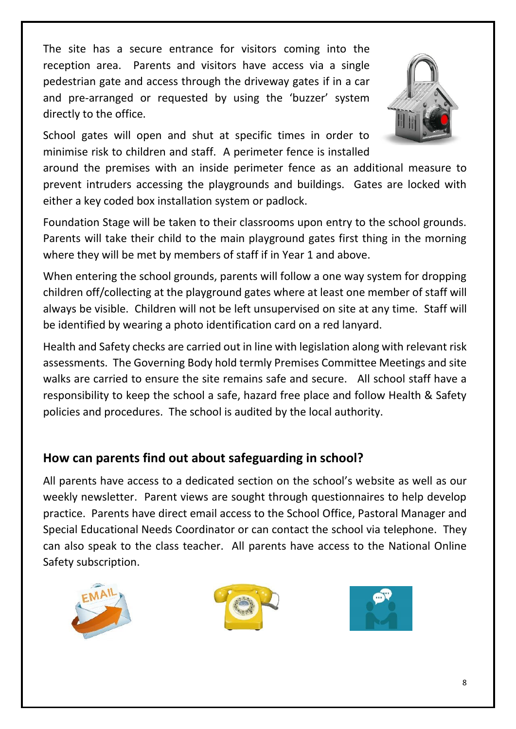The site has a secure entrance for visitors coming into the reception area. Parents and visitors have access via a single pedestrian gate and access through the driveway gates if in a car and pre-arranged or requested by using the 'buzzer' system directly to the office.



School gates will open and shut at specific times in order to minimise risk to children and staff. A perimeter fence is installed

around the premises with an inside perimeter fence as an additional measure to prevent intruders accessing the playgrounds and buildings. Gates are locked with either a key coded box installation system or padlock.

Foundation Stage will be taken to their classrooms upon entry to the school grounds. Parents will take their child to the main playground gates first thing in the morning where they will be met by members of staff if in Year 1 and above.

When entering the school grounds, parents will follow a one way system for dropping children off/collecting at the playground gates where at least one member of staff will always be visible. Children will not be left unsupervised on site at any time. Staff will be identified by wearing a photo identification card on a red lanyard.

Health and Safety checks are carried out in line with legislation along with relevant risk assessments. The Governing Body hold termly Premises Committee Meetings and site walks are carried to ensure the site remains safe and secure. All school staff have a responsibility to keep the school a safe, hazard free place and follow Health & Safety policies and procedures. The school is audited by the local authority.

# **How can parents find out about safeguarding in school?**

All parents have access to a dedicated section on the school's website as well as our weekly newsletter. Parent views are sought through questionnaires to help develop practice. Parents have direct email access to the School Office, Pastoral Manager and Special Educational Needs Coordinator or can contact the school via telephone. They can also speak to the class teacher. All parents have access to the National Online Safety subscription.